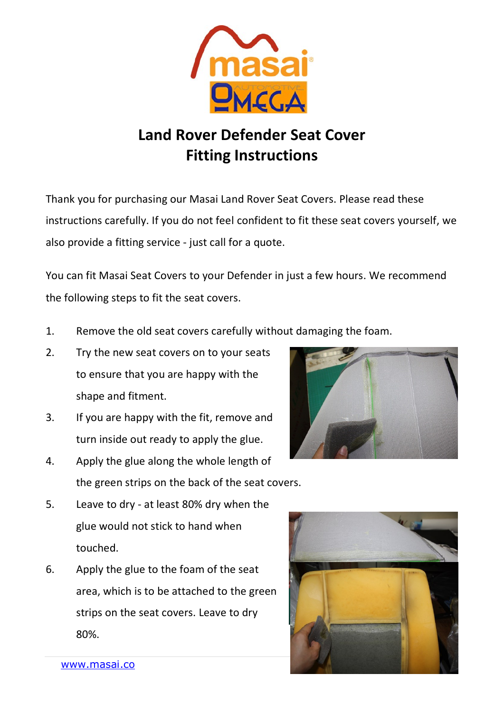

## **Land Rover Defender Seat Cover Fitting Instructions**

Thank you for purchasing our Masai Land Rover Seat Covers. Please read these instructions carefully. If you do not feel confident to fit these seat covers yourself, we also provide a fitting service - just call for a quote.

You can fit Masai Seat Covers to your Defender in just a few hours. We recommend the following steps to fit the seat covers.

- 1. Remove the old seat covers carefully without damaging the foam.
- 2. Try the new seat covers on to your seats to ensure that you are happy with the shape and fitment.
- 3. If you are happy with the fit, remove and turn inside out ready to apply the glue.
- 4. Apply the glue along the whole length of the green strips on the back of the seat covers.
- 5. Leave to dry at least 80% dry when the glue would not stick to hand when touched.
- 6. Apply the glue to the foam of the seat area, which is to be attached to the green strips on the seat covers. Leave to dry 80%.